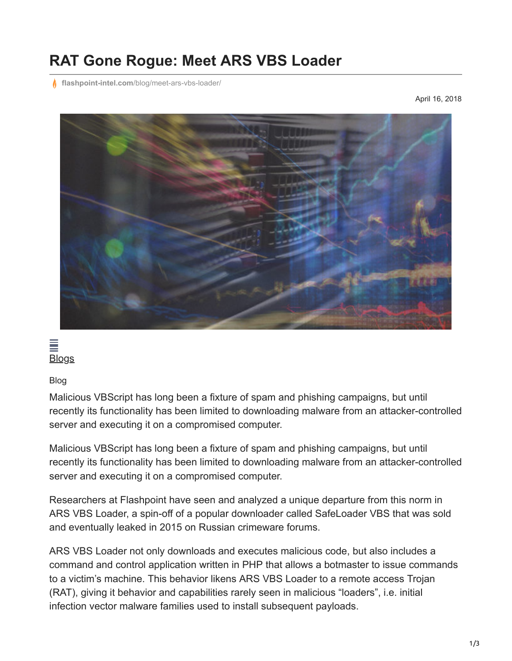## **RAT Gone Rogue: Meet ARS VBS Loader**

**flashpoint-intel.com**[/blog/meet-ars-vbs-loader/](https://www.flashpoint-intel.com/blog/meet-ars-vbs-loader/)

April 16, 2018



 $\equiv$ **[Blogs](https://www.flashpoint-intel.com/blog)** 

Blog

Malicious VBScript has long been a fixture of spam and phishing campaigns, but until recently its functionality has been limited to downloading malware from an attacker-controlled server and executing it on a compromised computer.

Malicious VBScript has long been a fixture of spam and phishing campaigns, but until recently its functionality has been limited to downloading malware from an attacker-controlled server and executing it on a compromised computer.

Researchers at Flashpoint have seen and analyzed a unique departure from this norm in ARS VBS Loader, a spin-off of a popular downloader called SafeLoader VBS that was sold and eventually leaked in 2015 on Russian crimeware forums.

ARS VBS Loader not only downloads and executes malicious code, but also includes a command and control application written in PHP that allows a botmaster to issue commands to a victim's machine. This behavior likens ARS VBS Loader to a remote access Trojan (RAT), giving it behavior and capabilities rarely seen in malicious "loaders", i.e. initial infection vector malware families used to install subsequent payloads.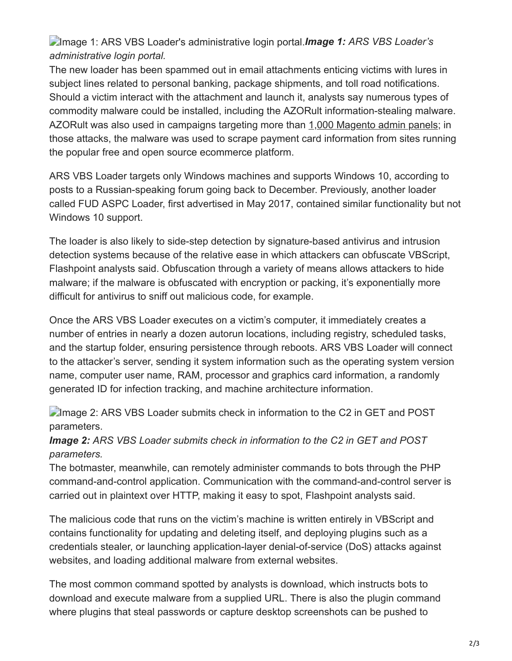Image 1: ARS VBS Loader's administrative login portal.*Image 1: ARS VBS Loader's administrative login portal.*

The new loader has been spammed out in email attachments enticing victims with lures in subject lines related to personal banking, package shipments, and toll road notifications. Should a victim interact with the attachment and launch it, analysts say numerous types of commodity malware could be installed, including the AZORult information-stealing malware. AZORult was also used in campaigns targeting more than [1,000 Magento admin panels;](https://www.flashpoint-intel.com/?p=5021) in those attacks, the malware was used to scrape payment card information from sites running the popular free and open source ecommerce platform.

ARS VBS Loader targets only Windows machines and supports Windows 10, according to posts to a Russian-speaking forum going back to December. Previously, another loader called FUD ASPC Loader, first advertised in May 2017, contained similar functionality but not Windows 10 support.

The loader is also likely to side-step detection by signature-based antivirus and intrusion detection systems because of the relative ease in which attackers can obfuscate VBScript, Flashpoint analysts said. Obfuscation through a variety of means allows attackers to hide malware; if the malware is obfuscated with encryption or packing, it's exponentially more difficult for antivirus to sniff out malicious code, for example.

Once the ARS VBS Loader executes on a victim's computer, it immediately creates a number of entries in nearly a dozen autorun locations, including registry, scheduled tasks, and the startup folder, ensuring persistence through reboots. ARS VBS Loader will connect to the attacker's server, sending it system information such as the operating system version name, computer user name, RAM, processor and graphics card information, a randomly generated ID for infection tracking, and machine architecture information.

**Image 2: ARS VBS Loader submits check in information to the C2 in GET and POST** parameters.

*Image 2: ARS VBS Loader submits check in information to the C2 in GET and POST parameters.*

The botmaster, meanwhile, can remotely administer commands to bots through the PHP command-and-control application. Communication with the command-and-control server is carried out in plaintext over HTTP, making it easy to spot, Flashpoint analysts said.

The malicious code that runs on the victim's machine is written entirely in VBScript and contains functionality for updating and deleting itself, and deploying plugins such as a credentials stealer, or launching application-layer denial-of-service (DoS) attacks against websites, and loading additional malware from external websites.

The most common command spotted by analysts is download, which instructs bots to download and execute malware from a supplied URL. There is also the plugin command where plugins that steal passwords or capture desktop screenshots can be pushed to